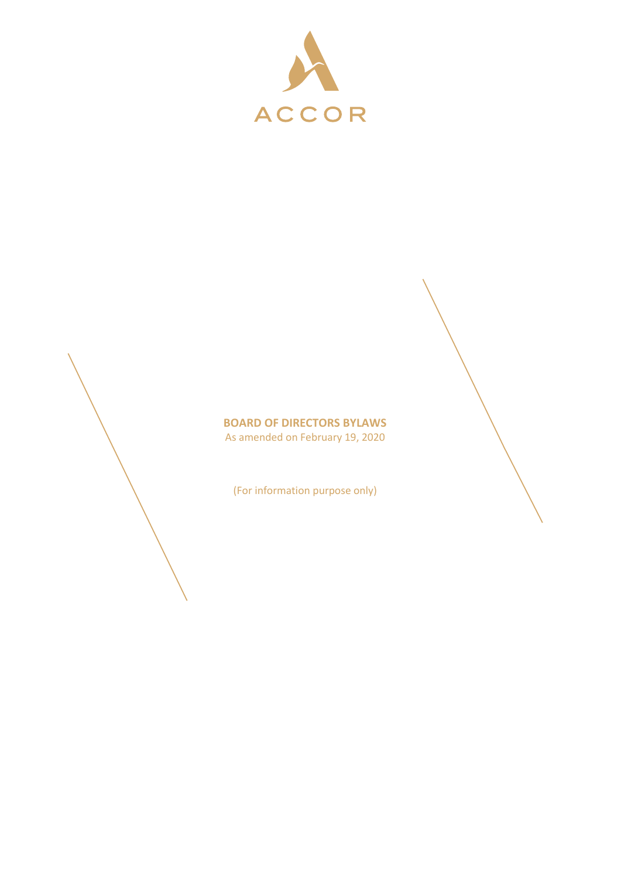



(For information purpose only)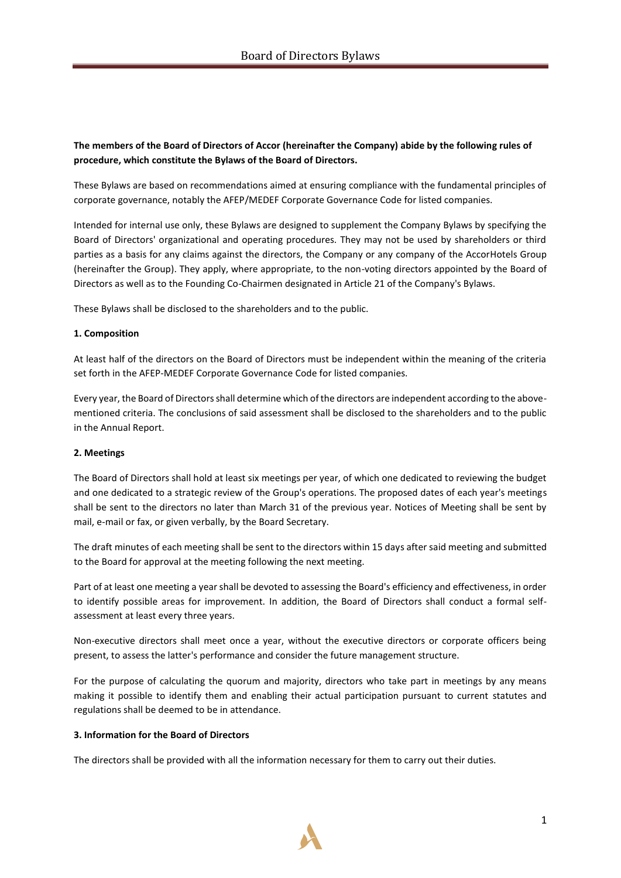# **The members of the Board of Directors of Accor (hereinafter the Company) abide by the following rules of procedure, which constitute the Bylaws of the Board of Directors.**

These Bylaws are based on recommendations aimed at ensuring compliance with the fundamental principles of corporate governance, notably the AFEP/MEDEF Corporate Governance Code for listed companies.

Intended for internal use only, these Bylaws are designed to supplement the Company Bylaws by specifying the Board of Directors' organizational and operating procedures. They may not be used by shareholders or third parties as a basis for any claims against the directors, the Company or any company of the AccorHotels Group (hereinafter the Group). They apply, where appropriate, to the non-voting directors appointed by the Board of Directors as well as to the Founding Co-Chairmen designated in Article 21 of the Company's Bylaws.

These Bylaws shall be disclosed to the shareholders and to the public.

#### **1. Composition**

At least half of the directors on the Board of Directors must be independent within the meaning of the criteria set forth in the AFEP-MEDEF Corporate Governance Code for listed companies.

Every year, the Board of Directors shall determine which of the directors are independent according to the abovementioned criteria. The conclusions of said assessment shall be disclosed to the shareholders and to the public in the Annual Report.

#### **2. Meetings**

The Board of Directors shall hold at least six meetings per year, of which one dedicated to reviewing the budget and one dedicated to a strategic review of the Group's operations. The proposed dates of each year's meetings shall be sent to the directors no later than March 31 of the previous year. Notices of Meeting shall be sent by mail, e-mail or fax, or given verbally, by the Board Secretary.

The draft minutes of each meeting shall be sent to the directors within 15 days after said meeting and submitted to the Board for approval at the meeting following the next meeting.

Part of at least one meeting a year shall be devoted to assessing the Board's efficiency and effectiveness, in order to identify possible areas for improvement. In addition, the Board of Directors shall conduct a formal selfassessment at least every three years.

Non-executive directors shall meet once a year, without the executive directors or corporate officers being present, to assess the latter's performance and consider the future management structure.

For the purpose of calculating the quorum and majority, directors who take part in meetings by any means making it possible to identify them and enabling their actual participation pursuant to current statutes and regulations shall be deemed to be in attendance.

#### **3. Information for the Board of Directors**

The directors shall be provided with all the information necessary for them to carry out their duties.

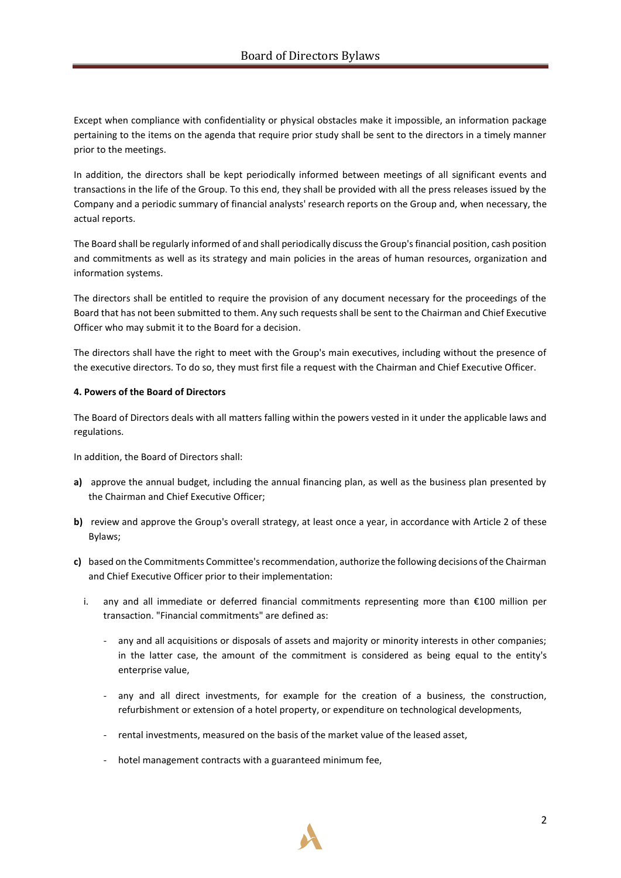Except when compliance with confidentiality or physical obstacles make it impossible, an information package pertaining to the items on the agenda that require prior study shall be sent to the directors in a timely manner prior to the meetings.

In addition, the directors shall be kept periodically informed between meetings of all significant events and transactions in the life of the Group. To this end, they shall be provided with all the press releases issued by the Company and a periodic summary of financial analysts' research reports on the Group and, when necessary, the actual reports.

The Board shall be regularly informed of and shall periodically discuss the Group's financial position, cash position and commitments as well as its strategy and main policies in the areas of human resources, organization and information systems.

The directors shall be entitled to require the provision of any document necessary for the proceedings of the Board that has not been submitted to them. Any such requests shall be sent to the Chairman and Chief Executive Officer who may submit it to the Board for a decision.

The directors shall have the right to meet with the Group's main executives, including without the presence of the executive directors. To do so, they must first file a request with the Chairman and Chief Executive Officer.

# **4. Powers of the Board of Directors**

The Board of Directors deals with all matters falling within the powers vested in it under the applicable laws and regulations.

In addition, the Board of Directors shall:

- **a)** approve the annual budget, including the annual financing plan, as well as the business plan presented by the Chairman and Chief Executive Officer;
- **b)** review and approve the Group's overall strategy, at least once a year, in accordance with Article 2 of these Bylaws;
- **c)** based on the Commitments Committee's recommendation, authorize the following decisions of the Chairman and Chief Executive Officer prior to their implementation:
	- i. any and all immediate or deferred financial commitments representing more than €100 million per transaction. "Financial commitments" are defined as:
		- any and all acquisitions or disposals of assets and majority or minority interests in other companies; in the latter case, the amount of the commitment is considered as being equal to the entity's enterprise value,
		- any and all direct investments, for example for the creation of a business, the construction, refurbishment or extension of a hotel property, or expenditure on technological developments,
		- rental investments, measured on the basis of the market value of the leased asset,
		- hotel management contracts with a guaranteed minimum fee,

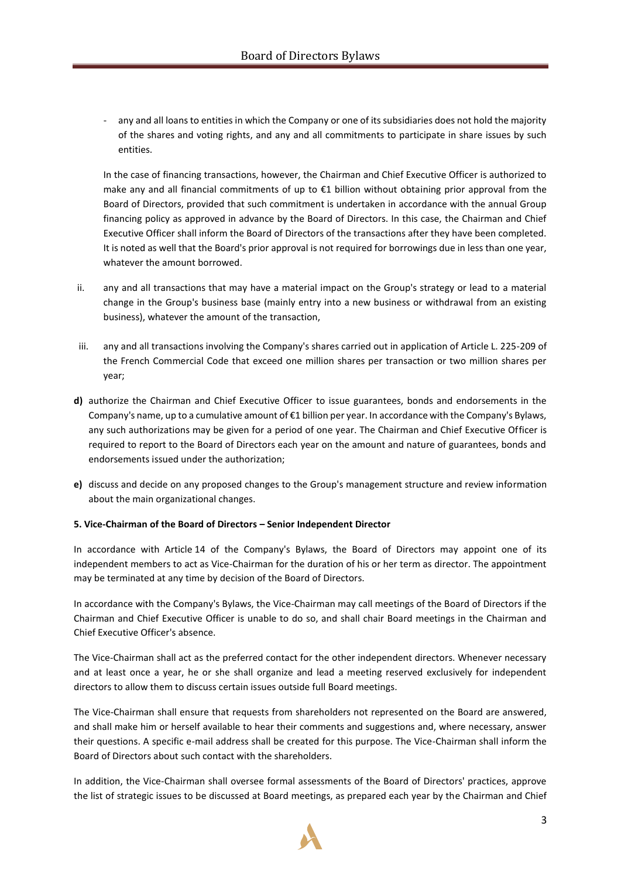- any and all loans to entities in which the Company or one of its subsidiaries does not hold the majority of the shares and voting rights, and any and all commitments to participate in share issues by such entities.

In the case of financing transactions, however, the Chairman and Chief Executive Officer is authorized to make any and all financial commitments of up to €1 billion without obtaining prior approval from the Board of Directors, provided that such commitment is undertaken in accordance with the annual Group financing policy as approved in advance by the Board of Directors. In this case, the Chairman and Chief Executive Officer shall inform the Board of Directors of the transactions after they have been completed. It is noted as well that the Board's prior approval is not required for borrowings due in less than one year, whatever the amount borrowed.

- ii. any and all transactions that may have a material impact on the Group's strategy or lead to a material change in the Group's business base (mainly entry into a new business or withdrawal from an existing business), whatever the amount of the transaction,
- iii. any and all transactions involving the Company's shares carried out in application of Article L. 225-209 of the French Commercial Code that exceed one million shares per transaction or two million shares per year;
- **d)** authorize the Chairman and Chief Executive Officer to issue guarantees, bonds and endorsements in the Company's name, up to a cumulative amount of €1 billion per year. In accordance with the Company's Bylaws, any such authorizations may be given for a period of one year. The Chairman and Chief Executive Officer is required to report to the Board of Directors each year on the amount and nature of guarantees, bonds and endorsements issued under the authorization;
- **e)** discuss and decide on any proposed changes to the Group's management structure and review information about the main organizational changes.

# **5. Vice-Chairman of the Board of Directors – Senior Independent Director**

In accordance with Article 14 of the Company's Bylaws, the Board of Directors may appoint one of its independent members to act as Vice-Chairman for the duration of his or her term as director. The appointment may be terminated at any time by decision of the Board of Directors.

In accordance with the Company's Bylaws, the Vice-Chairman may call meetings of the Board of Directors if the Chairman and Chief Executive Officer is unable to do so, and shall chair Board meetings in the Chairman and Chief Executive Officer's absence.

The Vice-Chairman shall act as the preferred contact for the other independent directors. Whenever necessary and at least once a year, he or she shall organize and lead a meeting reserved exclusively for independent directors to allow them to discuss certain issues outside full Board meetings.

The Vice-Chairman shall ensure that requests from shareholders not represented on the Board are answered, and shall make him or herself available to hear their comments and suggestions and, where necessary, answer their questions. A specific e-mail address shall be created for this purpose. The Vice-Chairman shall inform the Board of Directors about such contact with the shareholders.

In addition, the Vice-Chairman shall oversee formal assessments of the Board of Directors' practices, approve the list of strategic issues to be discussed at Board meetings, as prepared each year by the Chairman and Chief

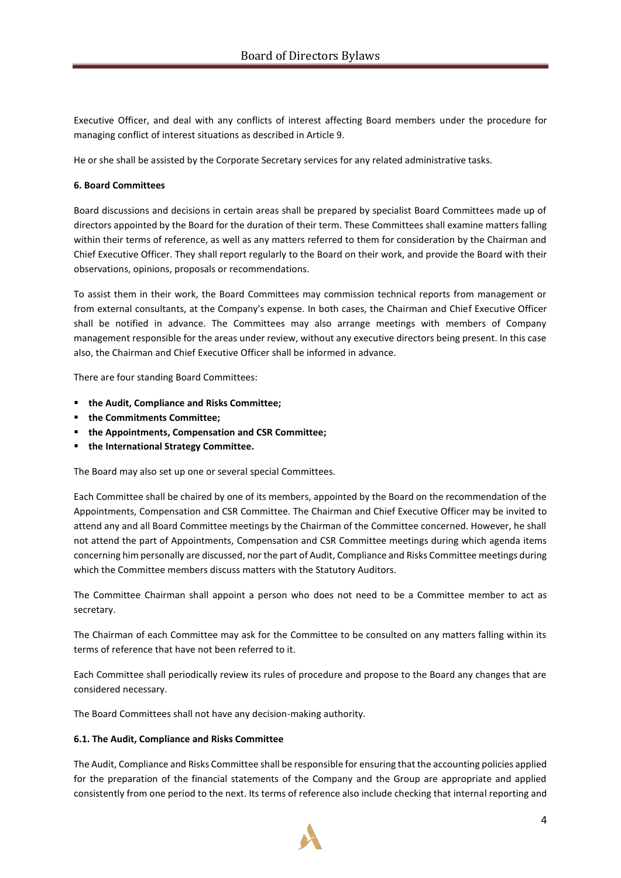Executive Officer, and deal with any conflicts of interest affecting Board members under the procedure for managing conflict of interest situations as described in Article 9.

He or she shall be assisted by the Corporate Secretary services for any related administrative tasks.

#### **6. Board Committees**

Board discussions and decisions in certain areas shall be prepared by specialist Board Committees made up of directors appointed by the Board for the duration of their term. These Committees shall examine matters falling within their terms of reference, as well as any matters referred to them for consideration by the Chairman and Chief Executive Officer. They shall report regularly to the Board on their work, and provide the Board with their observations, opinions, proposals or recommendations.

To assist them in their work, the Board Committees may commission technical reports from management or from external consultants, at the Company's expense. In both cases, the Chairman and Chief Executive Officer shall be notified in advance. The Committees may also arrange meetings with members of Company management responsible for the areas under review, without any executive directors being present. In this case also, the Chairman and Chief Executive Officer shall be informed in advance.

There are four standing Board Committees:

- **the Audit, Compliance and Risks Committee;**
- **the Commitments Committee;**
- **the Appointments, Compensation and CSR Committee;**
- **the International Strategy Committee.**

The Board may also set up one or several special Committees.

Each Committee shall be chaired by one of its members, appointed by the Board on the recommendation of the Appointments, Compensation and CSR Committee. The Chairman and Chief Executive Officer may be invited to attend any and all Board Committee meetings by the Chairman of the Committee concerned. However, he shall not attend the part of Appointments, Compensation and CSR Committee meetings during which agenda items concerning him personally are discussed, nor the part of Audit, Compliance and Risks Committee meetings during which the Committee members discuss matters with the Statutory Auditors.

The Committee Chairman shall appoint a person who does not need to be a Committee member to act as secretary.

The Chairman of each Committee may ask for the Committee to be consulted on any matters falling within its terms of reference that have not been referred to it.

Each Committee shall periodically review its rules of procedure and propose to the Board any changes that are considered necessary.

The Board Committees shall not have any decision-making authority.

#### **6.1. The Audit, Compliance and Risks Committee**

The Audit, Compliance and Risks Committee shall be responsible for ensuring that the accounting policies applied for the preparation of the financial statements of the Company and the Group are appropriate and applied consistently from one period to the next. Its terms of reference also include checking that internal reporting and

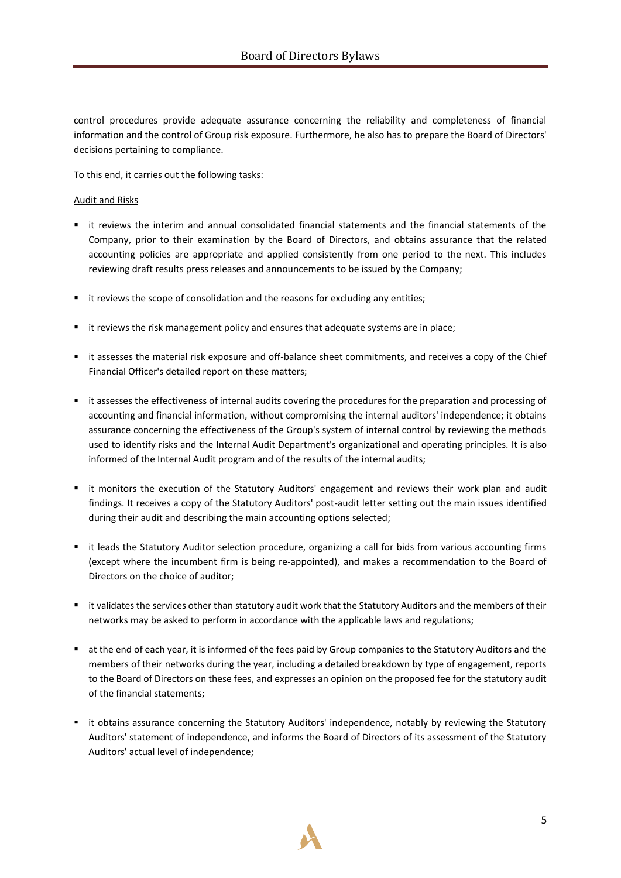control procedures provide adequate assurance concerning the reliability and completeness of financial information and the control of Group risk exposure. Furthermore, he also has to prepare the Board of Directors' decisions pertaining to compliance.

To this end, it carries out the following tasks:

# Audit and Risks

- it reviews the interim and annual consolidated financial statements and the financial statements of the Company, prior to their examination by the Board of Directors, and obtains assurance that the related accounting policies are appropriate and applied consistently from one period to the next. This includes reviewing draft results press releases and announcements to be issued by the Company;
- it reviews the scope of consolidation and the reasons for excluding any entities;
- it reviews the risk management policy and ensures that adequate systems are in place;
- it assesses the material risk exposure and off-balance sheet commitments, and receives a copy of the Chief Financial Officer's detailed report on these matters;
- it assesses the effectiveness of internal audits covering the procedures for the preparation and processing of accounting and financial information, without compromising the internal auditors' independence; it obtains assurance concerning the effectiveness of the Group's system of internal control by reviewing the methods used to identify risks and the Internal Audit Department's organizational and operating principles. It is also informed of the Internal Audit program and of the results of the internal audits;
- it monitors the execution of the Statutory Auditors' engagement and reviews their work plan and audit findings. It receives a copy of the Statutory Auditors' post-audit letter setting out the main issues identified during their audit and describing the main accounting options selected;
- it leads the Statutory Auditor selection procedure, organizing a call for bids from various accounting firms (except where the incumbent firm is being re-appointed), and makes a recommendation to the Board of Directors on the choice of auditor;
- it validates the services other than statutory audit work that the Statutory Auditors and the members of their networks may be asked to perform in accordance with the applicable laws and regulations;
- at the end of each year, it is informed of the fees paid by Group companies to the Statutory Auditors and the members of their networks during the year, including a detailed breakdown by type of engagement, reports to the Board of Directors on these fees, and expresses an opinion on the proposed fee for the statutory audit of the financial statements;
- it obtains assurance concerning the Statutory Auditors' independence, notably by reviewing the Statutory Auditors' statement of independence, and informs the Board of Directors of its assessment of the Statutory Auditors' actual level of independence;

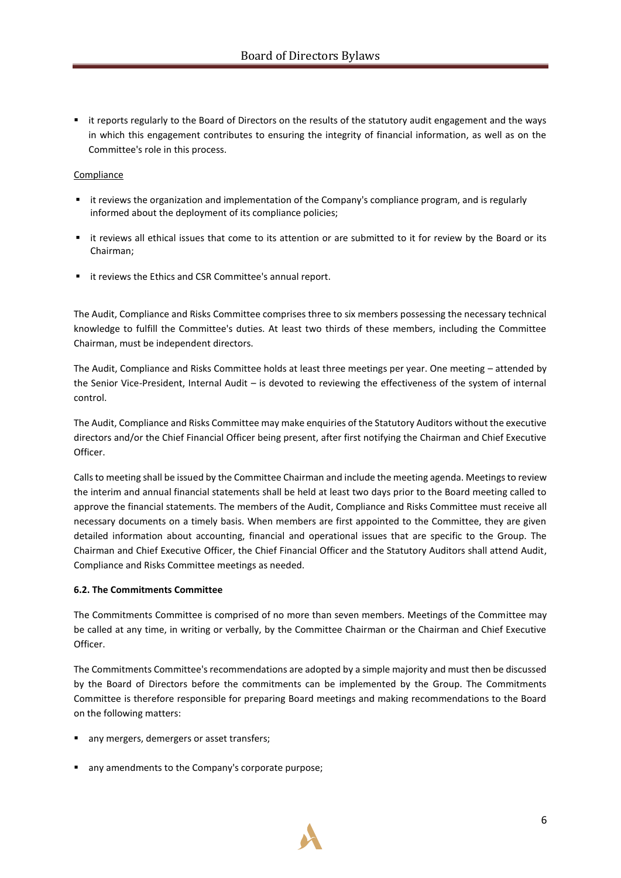■ it reports regularly to the Board of Directors on the results of the statutory audit engagement and the ways in which this engagement contributes to ensuring the integrity of financial information, as well as on the Committee's role in this process.

# Compliance

- it reviews the organization and implementation of the Company's compliance program, and is regularly informed about the deployment of its compliance policies;
- it reviews all ethical issues that come to its attention or are submitted to it for review by the Board or its Chairman;
- it reviews the Ethics and CSR Committee's annual report.

The Audit, Compliance and Risks Committee comprises three to six members possessing the necessary technical knowledge to fulfill the Committee's duties. At least two thirds of these members, including the Committee Chairman, must be independent directors.

The Audit, Compliance and Risks Committee holds at least three meetings per year. One meeting – attended by the Senior Vice-President, Internal Audit – is devoted to reviewing the effectiveness of the system of internal control.

The Audit, Compliance and Risks Committee may make enquiries of the Statutory Auditors without the executive directors and/or the Chief Financial Officer being present, after first notifying the Chairman and Chief Executive Officer.

Calls to meeting shall be issued by the Committee Chairman and include the meeting agenda. Meetings to review the interim and annual financial statements shall be held at least two days prior to the Board meeting called to approve the financial statements. The members of the Audit, Compliance and Risks Committee must receive all necessary documents on a timely basis. When members are first appointed to the Committee, they are given detailed information about accounting, financial and operational issues that are specific to the Group. The Chairman and Chief Executive Officer, the Chief Financial Officer and the Statutory Auditors shall attend Audit, Compliance and Risks Committee meetings as needed.

#### **6.2. The Commitments Committee**

The Commitments Committee is comprised of no more than seven members. Meetings of the Committee may be called at any time, in writing or verbally, by the Committee Chairman or the Chairman and Chief Executive Officer.

The Commitments Committee's recommendations are adopted by a simple majority and must then be discussed by the Board of Directors before the commitments can be implemented by the Group. The Commitments Committee is therefore responsible for preparing Board meetings and making recommendations to the Board on the following matters:

- any mergers, demergers or asset transfers;
- any amendments to the Company's corporate purpose;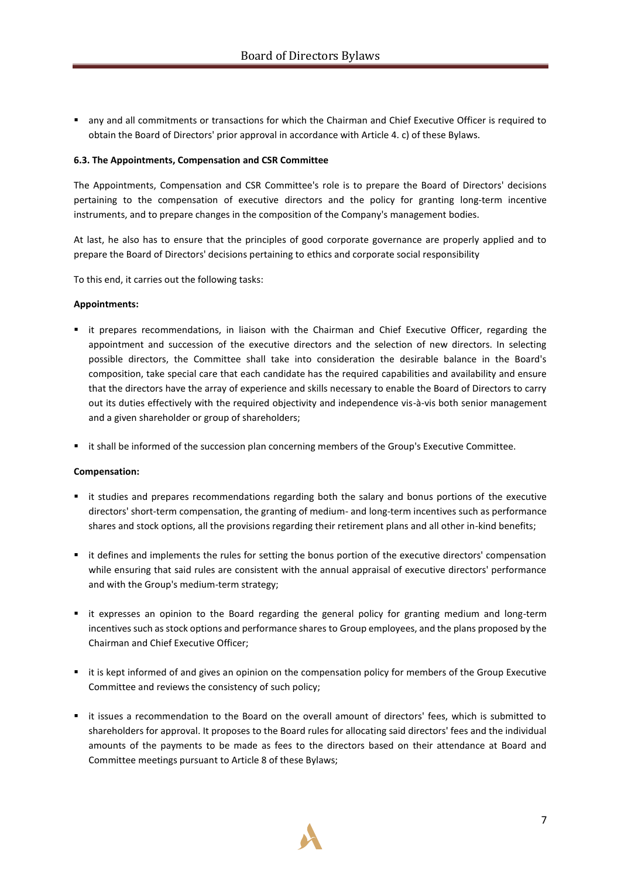▪ any and all commitments or transactions for which the Chairman and Chief Executive Officer is required to obtain the Board of Directors' prior approval in accordance with Article 4. c) of these Bylaws.

# **6.3. The Appointments, Compensation and CSR Committee**

The Appointments, Compensation and CSR Committee's role is to prepare the Board of Directors' decisions pertaining to the compensation of executive directors and the policy for granting long-term incentive instruments, and to prepare changes in the composition of the Company's management bodies.

At last, he also has to ensure that the principles of good corporate governance are properly applied and to prepare the Board of Directors' decisions pertaining to ethics and corporate social responsibility

To this end, it carries out the following tasks:

#### **Appointments:**

- it prepares recommendations, in liaison with the Chairman and Chief Executive Officer, regarding the appointment and succession of the executive directors and the selection of new directors. In selecting possible directors, the Committee shall take into consideration the desirable balance in the Board's composition, take special care that each candidate has the required capabilities and availability and ensure that the directors have the array of experience and skills necessary to enable the Board of Directors to carry out its duties effectively with the required objectivity and independence vis-à-vis both senior management and a given shareholder or group of shareholders;
- it shall be informed of the succession plan concerning members of the Group's Executive Committee.

#### **Compensation:**

- it studies and prepares recommendations regarding both the salary and bonus portions of the executive directors' short-term compensation, the granting of medium- and long-term incentives such as performance shares and stock options, all the provisions regarding their retirement plans and all other in-kind benefits;
- it defines and implements the rules for setting the bonus portion of the executive directors' compensation while ensuring that said rules are consistent with the annual appraisal of executive directors' performance and with the Group's medium-term strategy;
- it expresses an opinion to the Board regarding the general policy for granting medium and long-term incentives such as stock options and performance shares to Group employees, and the plans proposed by the Chairman and Chief Executive Officer;
- it is kept informed of and gives an opinion on the compensation policy for members of the Group Executive Committee and reviews the consistency of such policy;
- it issues a recommendation to the Board on the overall amount of directors' fees, which is submitted to shareholders for approval. It proposes to the Board rules for allocating said directors' fees and the individual amounts of the payments to be made as fees to the directors based on their attendance at Board and Committee meetings pursuant to Article 8 of these Bylaws;

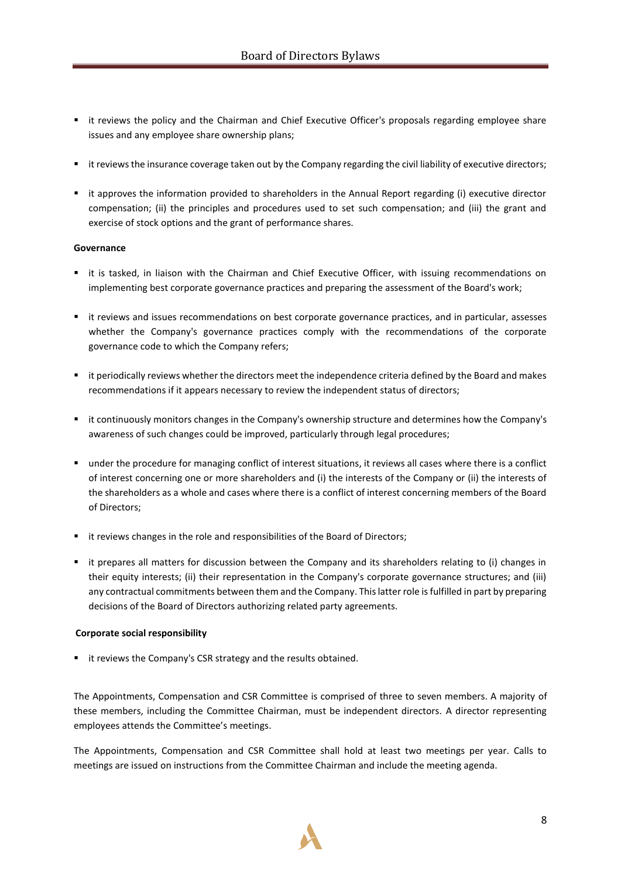- it reviews the policy and the Chairman and Chief Executive Officer's proposals regarding employee share issues and any employee share ownership plans;
- it reviews the insurance coverage taken out by the Company regarding the civil liability of executive directors;
- it approves the information provided to shareholders in the Annual Report regarding (i) executive director compensation; (ii) the principles and procedures used to set such compensation; and (iii) the grant and exercise of stock options and the grant of performance shares.

# **Governance**

- it is tasked, in liaison with the Chairman and Chief Executive Officer, with issuing recommendations on implementing best corporate governance practices and preparing the assessment of the Board's work;
- it reviews and issues recommendations on best corporate governance practices, and in particular, assesses whether the Company's governance practices comply with the recommendations of the corporate governance code to which the Company refers;
- it periodically reviews whether the directors meet the independence criteria defined by the Board and makes recommendations if it appears necessary to review the independent status of directors;
- it continuously monitors changes in the Company's ownership structure and determines how the Company's awareness of such changes could be improved, particularly through legal procedures;
- under the procedure for managing conflict of interest situations, it reviews all cases where there is a conflict of interest concerning one or more shareholders and (i) the interests of the Company or (ii) the interests of the shareholders as a whole and cases where there is a conflict of interest concerning members of the Board of Directors;
- it reviews changes in the role and responsibilities of the Board of Directors;
- it prepares all matters for discussion between the Company and its shareholders relating to (i) changes in their equity interests; (ii) their representation in the Company's corporate governance structures; and (iii) any contractual commitments between them and the Company. This latter role is fulfilled in part by preparing decisions of the Board of Directors authorizing related party agreements.

#### **Corporate social responsibility**

■ it reviews the Company's CSR strategy and the results obtained.

The Appointments, Compensation and CSR Committee is comprised of three to seven members. A majority of these members, including the Committee Chairman, must be independent directors. A director representing employees attends the Committee's meetings.

The Appointments, Compensation and CSR Committee shall hold at least two meetings per year. Calls to meetings are issued on instructions from the Committee Chairman and include the meeting agenda.

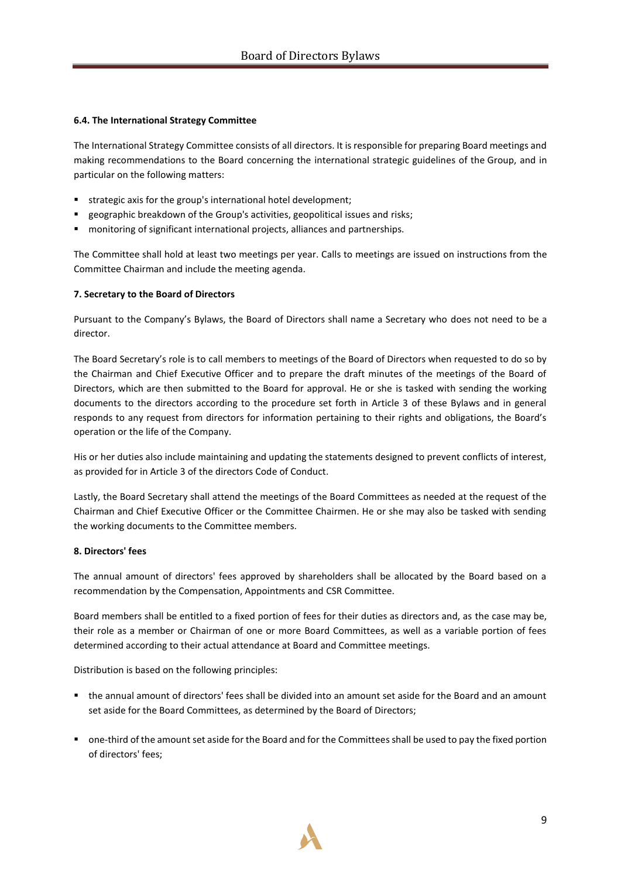# **6.4. The International Strategy Committee**

The International Strategy Committee consists of all directors. It is responsible for preparing Board meetings and making recommendations to the Board concerning the international strategic guidelines of the Group, and in particular on the following matters:

- strategic axis for the group's international hotel development;
- geographic breakdown of the Group's activities, geopolitical issues and risks;
- monitoring of significant international projects, alliances and [partnerships](http://www.linguee.fr/anglais-francais/traduction/partnership.html).

The Committee shall hold at least two meetings per year. Calls to meetings are issued on instructions from the Committee Chairman and include the meeting agenda.

# **7. Secretary to the Board of Directors**

Pursuant to the Company's Bylaws, the Board of Directors shall name a Secretary who does not need to be a director.

The Board Secretary's role is to call members to meetings of the Board of Directors when requested to do so by the Chairman and Chief Executive Officer and to prepare the draft minutes of the meetings of the Board of Directors, which are then submitted to the Board for approval. He or she is tasked with sending the working documents to the directors according to the procedure set forth in Article 3 of these Bylaws and in general responds to any request from directors for information pertaining to their rights and obligations, the Board's operation or the life of the Company.

His or her duties also include maintaining and updating the statements designed to prevent conflicts of interest, as provided for in Article 3 of the directors Code of Conduct.

Lastly, the Board Secretary shall attend the meetings of the Board Committees as needed at the request of the Chairman and Chief Executive Officer or the Committee Chairmen. He or she may also be tasked with sending the working documents to the Committee members.

# **8. Directors' fees**

The annual amount of directors' fees approved by shareholders shall be allocated by the Board based on a recommendation by the Compensation, Appointments and CSR Committee.

Board members shall be entitled to a fixed portion of fees for their duties as directors and, as the case may be, their role as a member or Chairman of one or more Board Committees, as well as a variable portion of fees determined according to their actual attendance at Board and Committee meetings.

Distribution is based on the following principles:

- the annual amount of directors' fees shall be divided into an amount set aside for the Board and an amount set aside for the Board Committees, as determined by the Board of Directors;
- one-third of the amount set aside for the Board and for the Committees shall be used to pay the fixed portion of directors' fees;

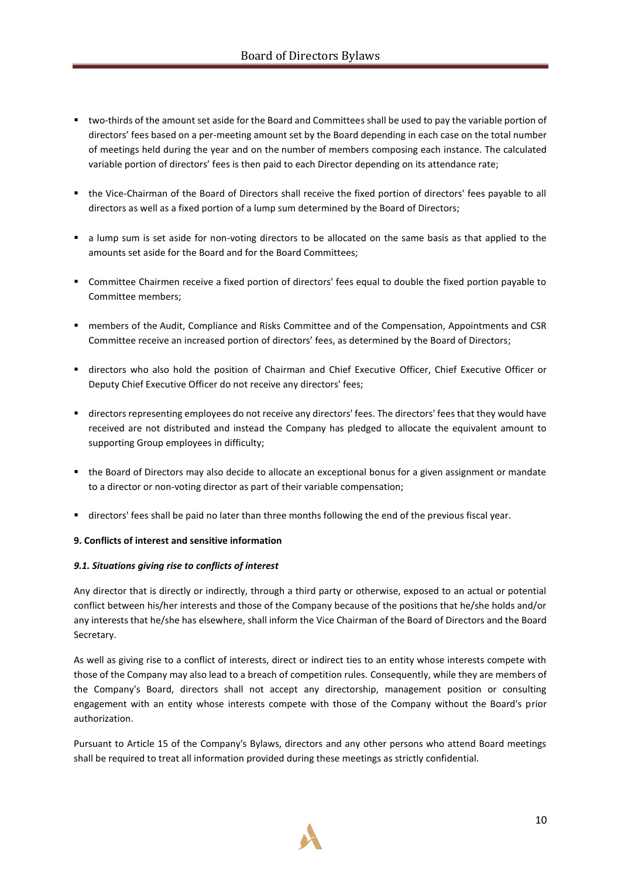- two-thirds of the amount set aside for the Board and Committees shall be used to pay the variable portion of directors' fees based on a per-meeting amount set by the Board depending in each case on the total number of meetings held during the year and on the number of members composing each instance. The calculated variable portion of directors' fees is then paid to each Director depending on its attendance rate;
- the Vice-Chairman of the Board of Directors shall receive the fixed portion of directors' fees payable to all directors as well as a fixed portion of a lump sum determined by the Board of Directors;
- a lump sum is set aside for non-voting directors to be allocated on the same basis as that applied to the amounts set aside for the Board and for the Board Committees;
- Committee Chairmen receive a fixed portion of directors' fees equal to double the fixed portion payable to Committee members;
- members of the Audit, Compliance and Risks Committee and of the Compensation, Appointments and CSR Committee receive an increased portion of directors' fees, as determined by the Board of Directors;
- directors who also hold the position of Chairman and Chief Executive Officer, Chief Executive Officer or Deputy Chief Executive Officer do not receive any directors' fees;
- directors representing employees do not receive any directors' fees. The directors' fees that they would have received are not distributed and instead the Company has pledged to allocate the equivalent amount to supporting Group employees in difficulty;
- the Board of Directors may also decide to allocate an exceptional bonus for a given assignment or mandate to a director or non-voting director as part of their variable compensation;
- directors' fees shall be paid no later than three months following the end of the previous fiscal year.

#### **9. Conflicts of interest and sensitive information**

#### *9.1. Situations giving rise to conflicts of interest*

Any director that is directly or indirectly, through a third party or otherwise, exposed to an actual or potential conflict between his/her interests and those of the Company because of the positions that he/she holds and/or any interests that he/she has elsewhere, shall inform the Vice Chairman of the Board of Directors and the Board Secretary.

As well as giving rise to a conflict of interests, direct or indirect ties to an entity whose interests compete with those of the Company may also lead to a breach of competition rules. Consequently, while they are members of the Company's Board, directors shall not accept any directorship, management position or consulting engagement with an entity whose interests compete with those of the Company without the Board's prior authorization.

Pursuant to Article 15 of the Company's Bylaws, directors and any other persons who attend Board meetings shall be required to treat all information provided during these meetings as strictly confidential.

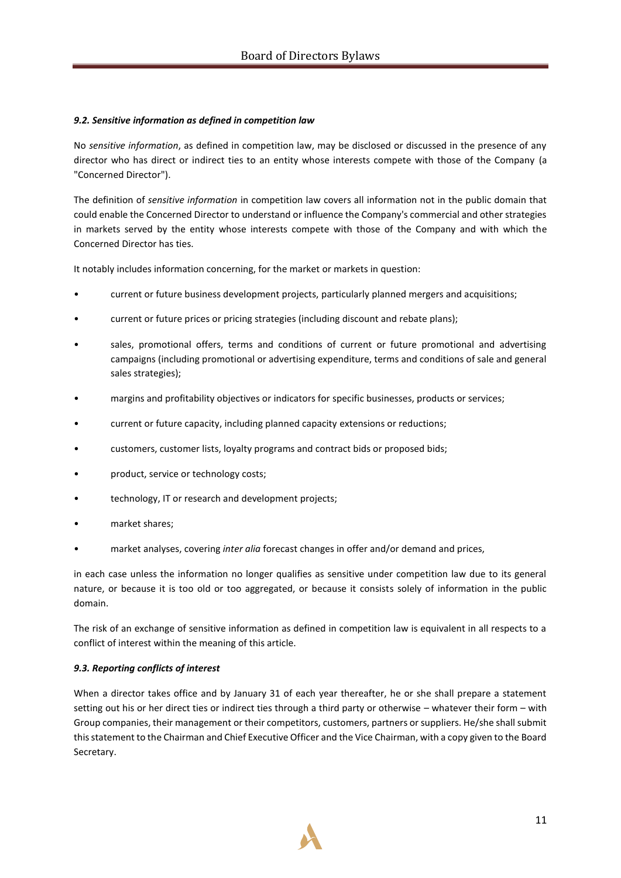# *9.2. Sensitive information as defined in competition law*

No *sensitive information*, as defined in competition law, may be disclosed or discussed in the presence of any director who has direct or indirect ties to an entity whose interests compete with those of the Company (a "Concerned Director").

The definition of *sensitive information* in competition law covers all information not in the public domain that could enable the Concerned Director to understand or influence the Company's commercial and other strategies in markets served by the entity whose interests compete with those of the Company and with which the Concerned Director has ties.

It notably includes information concerning, for the market or markets in question:

- current or future business development projects, particularly planned mergers and acquisitions;
- current or future prices or pricing strategies (including discount and rebate plans);
- sales, promotional offers, terms and conditions of current or future promotional and advertising campaigns (including promotional or advertising expenditure, terms and conditions of sale and general sales strategies);
- margins and profitability objectives or indicators for specific businesses, products or services;
- current or future capacity, including planned capacity extensions or reductions;
- customers, customer lists, loyalty programs and contract bids or proposed bids;
- product, service or technology costs;
- technology, IT or research and development projects;
- market shares:
- market analyses, covering *inter alia* forecast changes in offer and/or demand and prices,

in each case unless the information no longer qualifies as sensitive under competition law due to its general nature, or because it is too old or too aggregated, or because it consists solely of information in the public domain.

The risk of an exchange of sensitive information as defined in competition law is equivalent in all respects to a conflict of interest within the meaning of this article.

#### *9.3. Reporting conflicts of interest*

When a director takes office and by January 31 of each year thereafter, he or she shall prepare a statement setting out his or her direct ties or indirect ties through a third party or otherwise – whatever their form – with Group companies, their management or their competitors, customers, partners or suppliers. He/she shall submit this statement to the Chairman and Chief Executive Officer and the Vice Chairman, with a copy given to the Board Secretary.